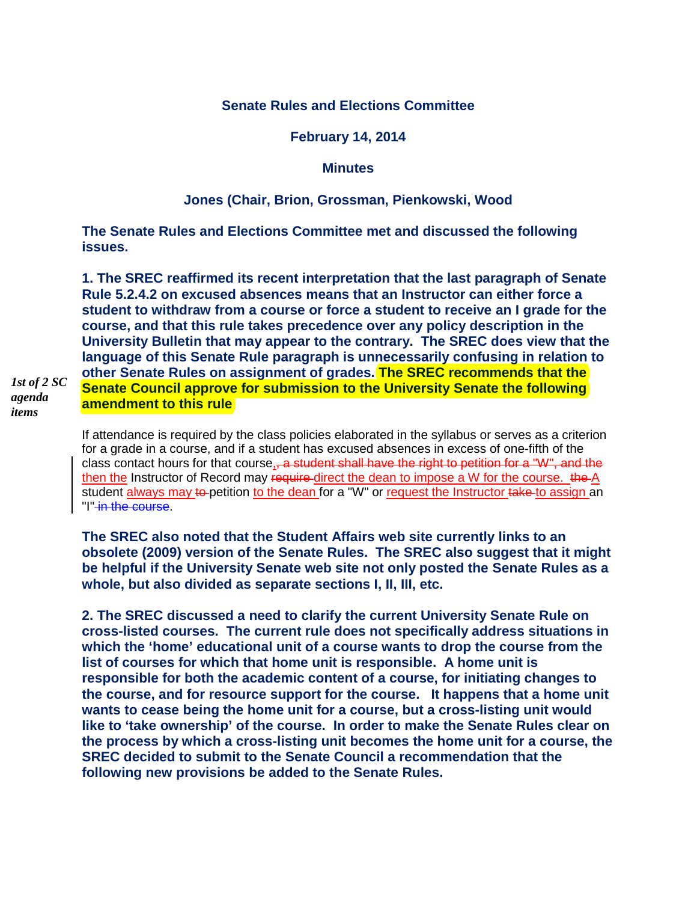## **Senate Rules and Elections Committee**

#### **February 14, 2014**

#### **Minutes**

# **Jones (Chair, Brion, Grossman, Pienkowski, Wood**

**The Senate Rules and Elections Committee met and discussed the following issues.**

**1. The SREC reaffirmed its recent interpretation that the last paragraph of Senate Rule 5.2.4.2 on excused absences means that an Instructor can either force a student to withdraw from a course or force a student to receive an I grade for the course, and that this rule takes precedence over any policy description in the University Bulletin that may appear to the contrary. The SREC does view that the language of this Senate Rule paragraph is unnecessarily confusing in relation to other Senate Rules on assignment of grades. The SREC recommends that the Senate Council approve for submission to the University Senate the following amendment to this rule**

*1st of 2 SC agenda items*

> If attendance is required by the class policies elaborated in the syllabus or serves as a criterion for a grade in a course, and if a student has excused absences in excess of one-fifth of the class contact hours for that course, a student shall have the right to petition for a "W", and the then the Instructor of Record may require direct the dean to impose a W for the course. the A student always may to petition to the dean for a "W" or request the Instructor take to assign an "I" in the course.

> **The SREC also noted that the Student Affairs web site currently links to an obsolete (2009) version of the Senate Rules. The SREC also suggest that it might be helpful if the University Senate web site not only posted the Senate Rules as a whole, but also divided as separate sections I, II, III, etc.**

> **2. The SREC discussed a need to clarify the current University Senate Rule on cross-listed courses. The current rule does not specifically address situations in which the 'home' educational unit of a course wants to drop the course from the list of courses for which that home unit is responsible. A home unit is responsible for both the academic content of a course, for initiating changes to the course, and for resource support for the course. It happens that a home unit wants to cease being the home unit for a course, but a cross-listing unit would like to 'take ownership' of the course. In order to make the Senate Rules clear on the process by which a cross-listing unit becomes the home unit for a course, the SREC decided to submit to the Senate Council a recommendation that the following new provisions be added to the Senate Rules.**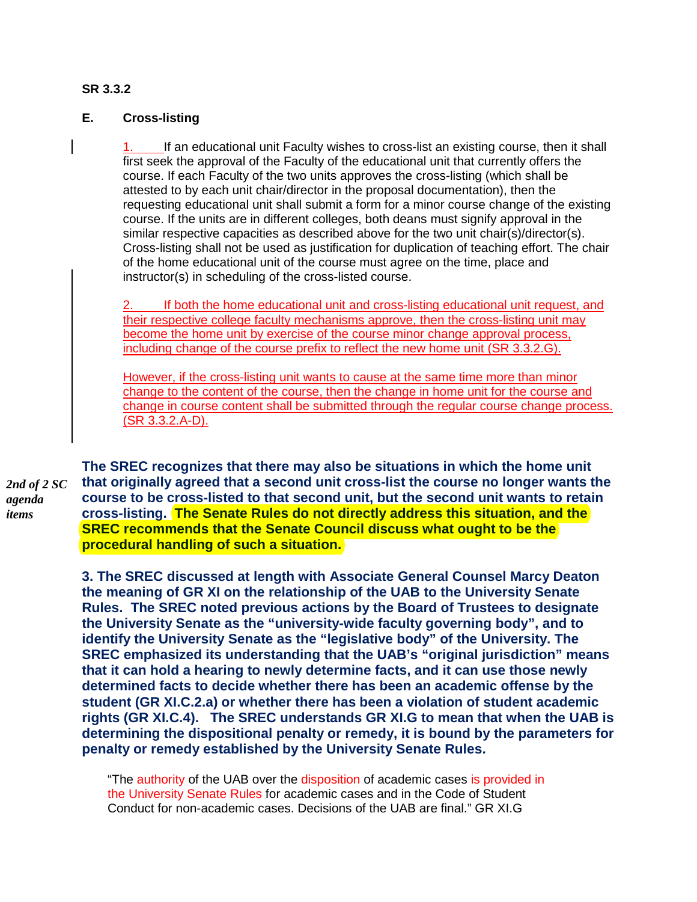## **SR 3.3.2**

### **E. Cross-listing**

If an educational unit Faculty wishes to cross-list an existing course, then it shall first seek the approval of the Faculty of the educational unit that currently offers the course. If each Faculty of the two units approves the cross-listing (which shall be attested to by each unit chair/director in the proposal documentation), then the requesting educational unit shall submit a form for a minor course change of the existing course. If the units are in different colleges, both deans must signify approval in the similar respective capacities as described above for the two unit chair(s)/director(s). Cross-listing shall not be used as justification for duplication of teaching effort. The chair of the home educational unit of the course must agree on the time, place and instructor(s) in scheduling of the cross-listed course.

2. If both the home educational unit and cross-listing educational unit request, and their respective college faculty mechanisms approve, then the cross-listing unit may become the home unit by exercise of the course minor change approval process, including change of the course prefix to reflect the new home unit (SR 3.3.2.G).

However, if the cross-listing unit wants to cause at the same time more than minor change to the content of the course, then the change in home unit for the course and change in course content shall be submitted through the regular course change process. (SR 3.3.2.A-D).

*2nd of 2 SC agenda items*

**The SREC recognizes that there may also be situations in which the home unit that originally agreed that a second unit cross-list the course no longer wants the course to be cross-listed to that second unit, but the second unit wants to retain cross-listing. The Senate Rules do not directly address this situation, and the SREC recommends that the Senate Council discuss what ought to be the procedural handling of such a situation.**

**3. The SREC discussed at length with Associate General Counsel Marcy Deaton the meaning of GR XI on the relationship of the UAB to the University Senate Rules. The SREC noted previous actions by the Board of Trustees to designate the University Senate as the "university-wide faculty governing body", and to identify the University Senate as the "legislative body" of the University. The SREC emphasized its understanding that the UAB's "original jurisdiction" means that it can hold a hearing to newly determine facts, and it can use those newly determined facts to decide whether there has been an academic offense by the student (GR XI.C.2.a) or whether there has been a violation of student academic rights (GR XI.C.4). The SREC understands GR XI.G to mean that when the UAB is determining the dispositional penalty or remedy, it is bound by the parameters for penalty or remedy established by the University Senate Rules.** 

"The authority of the UAB over the disposition of academic cases is provided in the University Senate Rules for academic cases and in the Code of Student Conduct for non-academic cases. Decisions of the UAB are final." GR XI.G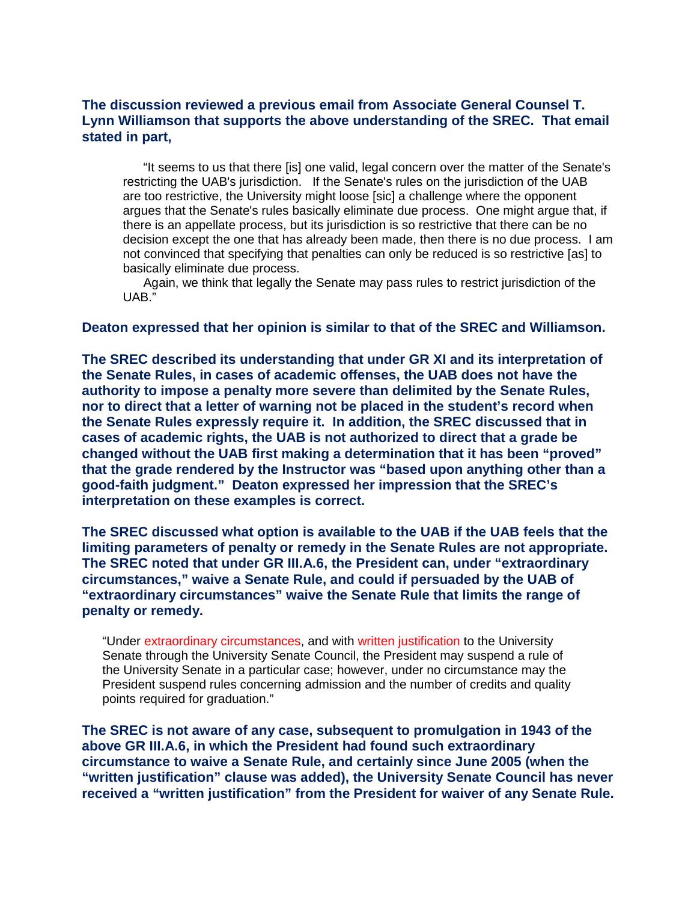## **The discussion reviewed a previous email from Associate General Counsel T. Lynn Williamson that supports the above understanding of the SREC. That email stated in part,**

"It seems to us that there [is] one valid, legal concern over the matter of the Senate's restricting the UAB's jurisdiction. If the Senate's rules on the jurisdiction of the UAB are too restrictive, the University might loose [sic] a challenge where the opponent argues that the Senate's rules basically eliminate due process. One might argue that, if there is an appellate process, but its jurisdiction is so restrictive that there can be no decision except the one that has already been made, then there is no due process. I am not convinced that specifying that penalties can only be reduced is so restrictive [as] to basically eliminate due process.

Again, we think that legally the Senate may pass rules to restrict jurisdiction of the UAB."

#### **Deaton expressed that her opinion is similar to that of the SREC and Williamson.**

**The SREC described its understanding that under GR XI and its interpretation of the Senate Rules, in cases of academic offenses, the UAB does not have the authority to impose a penalty more severe than delimited by the Senate Rules, nor to direct that a letter of warning not be placed in the student's record when the Senate Rules expressly require it. In addition, the SREC discussed that in cases of academic rights, the UAB is not authorized to direct that a grade be changed without the UAB first making a determination that it has been "proved" that the grade rendered by the Instructor was "based upon anything other than a good-faith judgment." Deaton expressed her impression that the SREC's interpretation on these examples is correct.**

**The SREC discussed what option is available to the UAB if the UAB feels that the limiting parameters of penalty or remedy in the Senate Rules are not appropriate. The SREC noted that under GR III.A.6, the President can, under "extraordinary circumstances," waive a Senate Rule, and could if persuaded by the UAB of "extraordinary circumstances" waive the Senate Rule that limits the range of penalty or remedy.**

"Under extraordinary circumstances, and with written justification to the University Senate through the University Senate Council, the President may suspend a rule of the University Senate in a particular case; however, under no circumstance may the President suspend rules concerning admission and the number of credits and quality points required for graduation."

**The SREC is not aware of any case, subsequent to promulgation in 1943 of the above GR III.A.6, in which the President had found such extraordinary circumstance to waive a Senate Rule, and certainly since June 2005 (when the "written justification" clause was added), the University Senate Council has never received a "written justification" from the President for waiver of any Senate Rule.**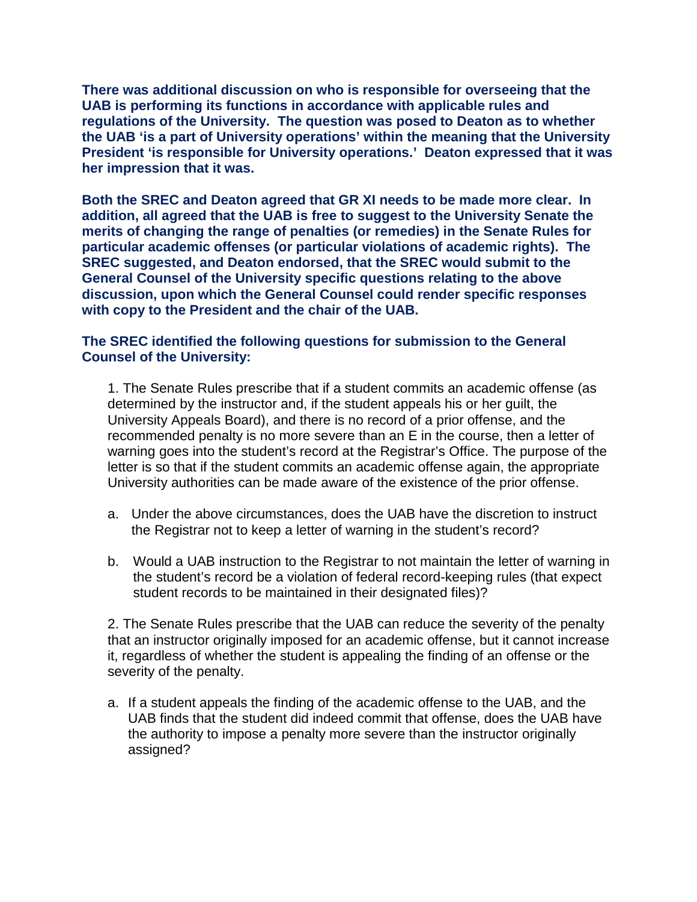**There was additional discussion on who is responsible for overseeing that the UAB is performing its functions in accordance with applicable rules and regulations of the University. The question was posed to Deaton as to whether the UAB 'is a part of University operations' within the meaning that the University President 'is responsible for University operations.' Deaton expressed that it was her impression that it was.**

**Both the SREC and Deaton agreed that GR XI needs to be made more clear. In addition, all agreed that the UAB is free to suggest to the University Senate the merits of changing the range of penalties (or remedies) in the Senate Rules for particular academic offenses (or particular violations of academic rights). The SREC suggested, and Deaton endorsed, that the SREC would submit to the General Counsel of the University specific questions relating to the above discussion, upon which the General Counsel could render specific responses with copy to the President and the chair of the UAB.** 

# **The SREC identified the following questions for submission to the General Counsel of the University:**

1. The Senate Rules prescribe that if a student commits an academic offense (as determined by the instructor and, if the student appeals his or her guilt, the University Appeals Board), and there is no record of a prior offense, and the recommended penalty is no more severe than an E in the course, then a letter of warning goes into the student's record at the Registrar's Office. The purpose of the letter is so that if the student commits an academic offense again, the appropriate University authorities can be made aware of the existence of the prior offense.

- a. Under the above circumstances, does the UAB have the discretion to instruct the Registrar not to keep a letter of warning in the student's record?
- b. Would a UAB instruction to the Registrar to not maintain the letter of warning in the student's record be a violation of federal record-keeping rules (that expect student records to be maintained in their designated files)?

2. The Senate Rules prescribe that the UAB can reduce the severity of the penalty that an instructor originally imposed for an academic offense, but it cannot increase it, regardless of whether the student is appealing the finding of an offense or the severity of the penalty.

a. If a student appeals the finding of the academic offense to the UAB, and the UAB finds that the student did indeed commit that offense, does the UAB have the authority to impose a penalty more severe than the instructor originally assigned?